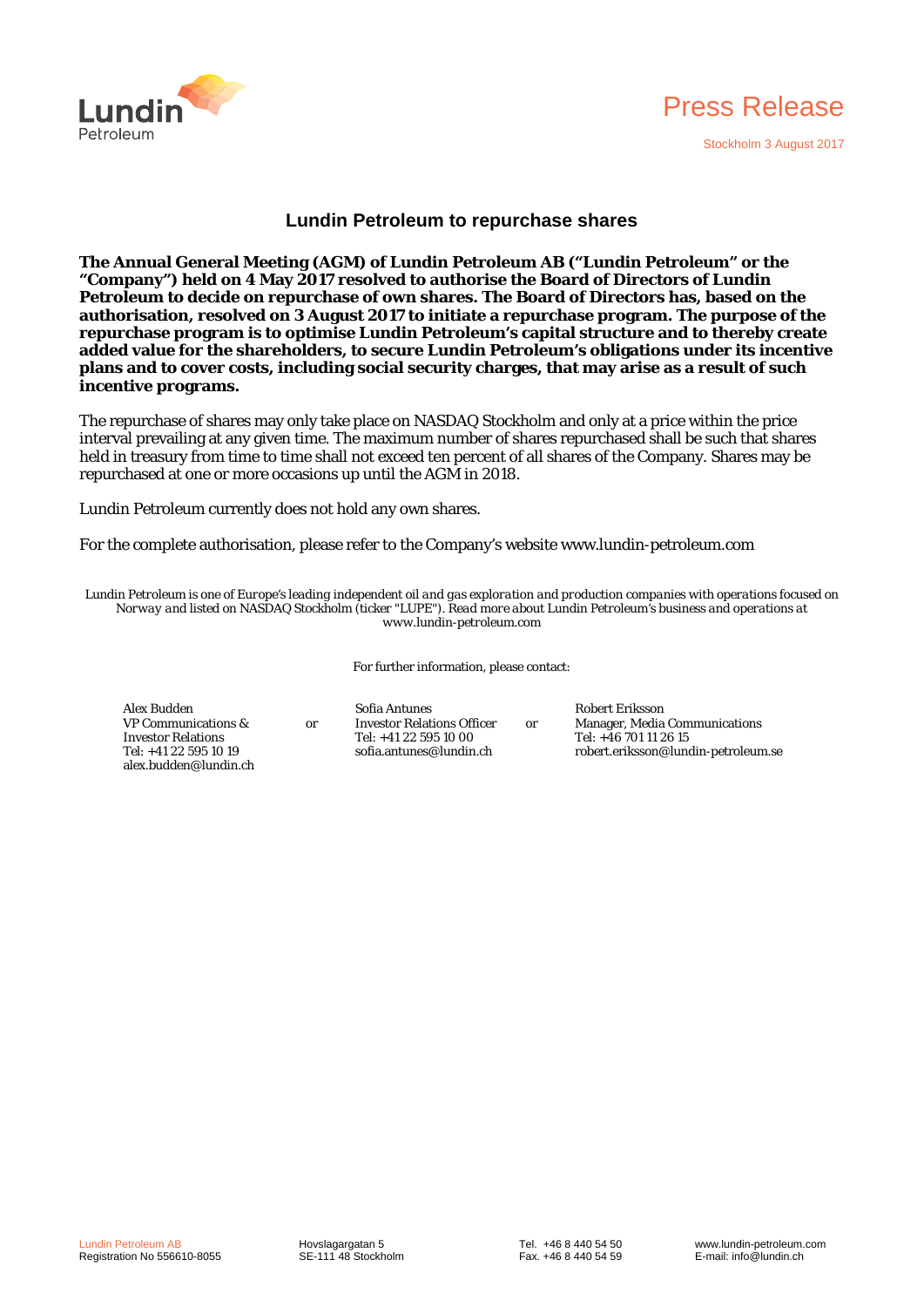



## **Lundin Petroleum to repurchase shares**

**The Annual General Meeting (AGM) of Lundin Petroleum AB ("Lundin Petroleum" or the "Company") held on 4 May 2017 resolved to authorise the Board of Directors of Lundin Petroleum to decide on repurchase of own shares. The Board of Directors has, based on the authorisation, resolved on 3 August 2017 to initiate a repurchase program. The purpose of the repurchase program is to optimise Lundin Petroleum's capital structure and to thereby create added value for the shareholders, to secure Lundin Petroleum's obligations under its incentive plans and to cover costs, including social security charges, that may arise as a result of such incentive programs.** 

The repurchase of shares may only take place on NASDAQ Stockholm and only at a price within the price interval prevailing at any given time. The maximum number of shares repurchased shall be such that shares held in treasury from time to time shall not exceed ten percent of all shares of the Company. Shares may be repurchased at one or more occasions up until the AGM in 2018.

Lundin Petroleum currently does not hold any own shares.

or

For the complete authorisation, please refer to the Company's website www.lundin-petroleum.com

*Lundin Petroleum is one of Europe's leading independent oil and gas exploration and production companies with operations focused on Norway and listed on NASDAQ Stockholm (ticker "LUPE"). Read more about Lundin Petroleum's business and operations at www.lundin-petroleum.com*

For further information, please contact:

or

Alex Budden VP Communications & Investor Relations Tel: +41 22 595 10 19 alex.budden@lundin.ch Sofia Antunes Investor Relations Officer Tel: +41 22 595 10 00 sofia.antunes@lundin.ch

Robert Eriksson Manager, Media Communications Tel: +46 701 11 26 15 robert.eriksson@lundin-petroleum.se